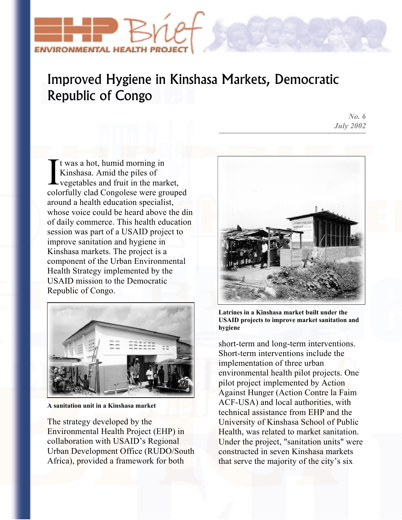

## Improved Hygiene in Kinshasa Markets, Democratic Republic of Congo

*No. 6 July 2002*

t was a hot, humid morning in Kinshasa. Amid the piles of It was a hot, humid morning in<br>Kinshasa. Amid the piles of<br>vegetables and fruit in the market, colorfully clad Congolese were grouped around a health education specialist, whose voice could be heard above the din of daily commerce. This health education session was part of a USAID project to improve sanitation and hygiene in Kinshasa markets. The project is a component of the Urban Environmental Health Strategy implemented by the USAID mission to the Democratic Republic of Congo.



**A sanitation unit in a Kinshasa market** 

The strategy developed by the Environmental Health Project (EHP) in collaboration with USAID's Regional Urban Development Office (RUDO/South Africa), provided a framework for both



**Latrines in a Kinshasa market built under the USAID projects to improve market sanitation and hygiene** 

short-term and long-term interventions. Short-term interventions include the implementation of three urban environmental health pilot projects. One pilot project implemented by Action Against Hunger (Action Contre la Faim ACF-USA) and local authorities, with technical assistance from EHP and the University of Kinshasa School of Public Health, was related to market sanitation. Under the project, "sanitation units" were constructed in seven Kinshasa markets that serve the majority of the city's six